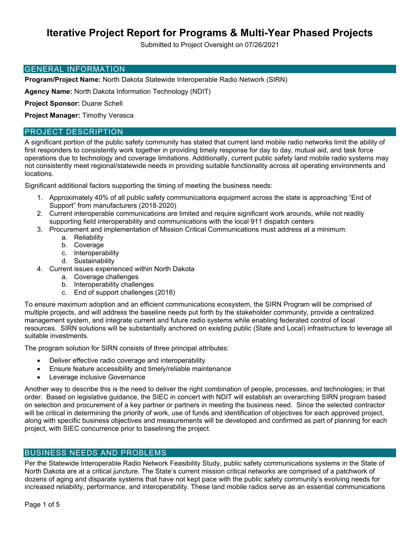# **Iterative Project Report for Programs & Multi-Year Phased Projects**

Submitted to Project Oversight on 07/26/2021

#### GENERAL INFORMATION

**Program/Project Name:** North Dakota Statewide Interoperable Radio Network (SIRN)

**Agency Name:** North Dakota Information Technology (NDIT)

**Project Sponsor:** Duane Schell

**Project Manager:** Timothy Verasca

### PROJECT DESCRIPTION

A significant portion of the public safety community has stated that current land mobile radio networks limit the ability of first responders to consistently work together in providing timely response for day to day, mutual aid, and task force operations due to technology and coverage limitations. Additionally, current public safety land mobile radio systems may not consistently meet regional/statewide needs in providing suitable functionality across all operating environments and locations.

Significant additional factors supporting the timing of meeting the business needs:

- 1. Approximately 40% of all public safety communications equipment across the state is approaching "End of Support" from manufacturers (2018-2020)
- 2. Current interoperable communications are limited and require significant work arounds, while not readily supporting field interoperability and communications with the local 911 dispatch centers
- 3. Procurement and implementation of Mission Critical Communications must address at a minimum:
	- a. Reliability
	- b. Coverage
	- c. Interoperability
	- d. Sustainability
- 4. Current issues experienced within North Dakota
	- a. Coverage challenges
	- b. Interoperability challenges
	- c. End of support challenges (2018)

To ensure maximum adoption and an efficient communications ecosystem, the SIRN Program will be comprised of multiple projects, and will address the baseline needs put forth by the stakeholder community, provide a centralized management system, and integrate current and future radio systems while enabling federated control of local resources. SIRN solutions will be substantially anchored on existing public (State and Local) infrastructure to leverage all suitable investments.

The program solution for SIRN consists of three principal attributes:

- Deliver effective radio coverage and interoperability
- Ensure feature accessibility and timely/reliable maintenance
- Leverage inclusive Governance

Another way to describe this is the need to deliver the right combination of people, processes, and technologies; in that order. Based on legislative guidance, the SIEC in concert with NDIT will establish an overarching SIRN program based on selection and procurement of a key partner or partners in meeting the business need. Since the selected contractor will be critical in determining the priority of work, use of funds and identification of objectives for each approved project, along with specific business objectives and measurements will be developed and confirmed as part of planning for each project, with SIEC concurrence prior to baselining the project.

## BUSINESS NEEDS AND PROBLEMS

Per the Statewide Interoperable Radio Network Feasibility Study, public safety communications systems in the State of North Dakota are at a critical juncture. The State's current mission critical networks are comprised of a patchwork of dozens of aging and disparate systems that have not kept pace with the public safety community's evolving needs for increased reliability, performance, and interoperability. These land mobile radios serve as an essential communications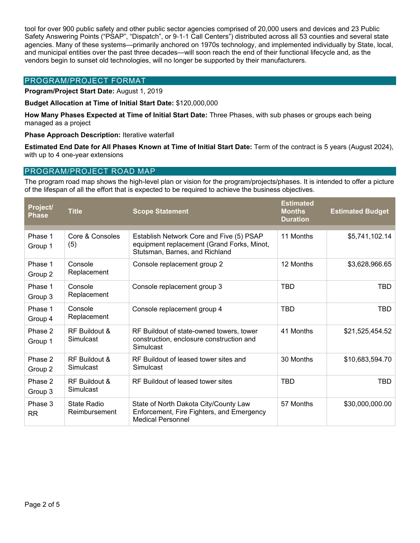tool for over 900 public safety and other public sector agencies comprised of 20,000 users and devices and 23 Public Safety Answering Points ("PSAP", "Dispatch", or 9-1-1 Call Centers") distributed across all 53 counties and several state agencies. Many of these systems—primarily anchored on 1970s technology, and implemented individually by State, local, and municipal entities over the past three decades—will soon reach the end of their functional lifecycle and, as the vendors begin to sunset old technologies, will no longer be supported by their manufacturers.

## PROGRAM/PROJECT FORMAT

**Program/Project Start Date:** August 1, 2019

**Budget Allocation at Time of Initial Start Date:** \$120,000,000

**How Many Phases Expected at Time of Initial Start Date:** Three Phases, with sub phases or groups each being managed as a project

**Phase Approach Description:** Iterative waterfall

**Estimated End Date for All Phases Known at Time of Initial Start Date:** Term of the contract is 5 years (August 2024), with up to 4 one-year extensions

## PROGRAM/PROJECT ROAD MAP

The program road map shows the high-level plan or vision for the program/projects/phases. It is intended to offer a picture of the lifespan of all the effort that is expected to be required to achieve the business objectives.

| Project/<br><b>Phase</b> | <b>Title</b>                 | <b>Scope Statement</b>                                                                                                   | <b>Estimated</b><br><b>Months</b><br><b>Duration</b> | <b>Estimated Budget</b> |
|--------------------------|------------------------------|--------------------------------------------------------------------------------------------------------------------------|------------------------------------------------------|-------------------------|
| Phase 1<br>Group 1       | Core & Consoles<br>(5)       | Establish Network Core and Five (5) PSAP<br>equipment replacement (Grand Forks, Minot,<br>Stutsman, Barnes, and Richland | 11 Months                                            | \$5,741,102.14          |
| Phase 1<br>Group 2       | Console<br>Replacement       | Console replacement group 2                                                                                              | 12 Months                                            | \$3,628,966.65          |
| Phase 1<br>Group 3       | Console<br>Replacement       | Console replacement group 3                                                                                              | <b>TBD</b>                                           | TBD                     |
| Phase 1<br>Group 4       | Console<br>Replacement       | Console replacement group 4                                                                                              | <b>TBD</b>                                           | <b>TBD</b>              |
| Phase 2<br>Group 1       | RF Buildout &<br>Simulcast   | RF Buildout of state-owned towers, tower<br>construction, enclosure construction and<br>Simulcast                        | 41 Months                                            | \$21,525,454.52         |
| Phase 2<br>Group 2       | RF Buildout &<br>Simulcast   | RF Buildout of leased tower sites and<br>Simulcast                                                                       | 30 Months                                            | \$10,683,594.70         |
| Phase 2<br>Group 3       | RF Buildout &<br>Simulcast   | RF Buildout of leased tower sites                                                                                        | <b>TBD</b>                                           | <b>TBD</b>              |
| Phase 3<br><b>RR</b>     | State Radio<br>Reimbursement | State of North Dakota City/County Law<br>Enforcement, Fire Fighters, and Emergency<br><b>Medical Personnel</b>           | 57 Months                                            | \$30,000,000.00         |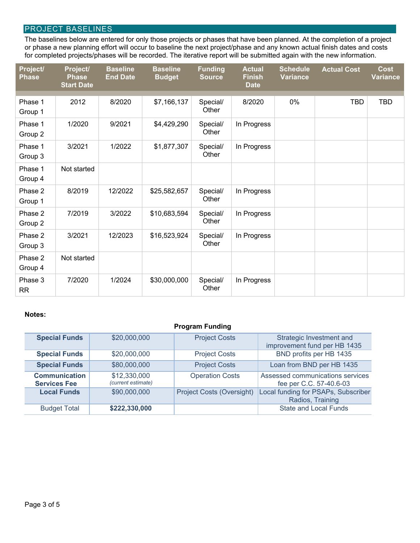# PROJECT BASELINES

The baselines below are entered for only those projects or phases that have been planned. At the completion of a project or phase a new planning effort will occur to baseline the next project/phase and any known actual finish dates and costs for completed projects/phases will be recorded. The iterative report will be submitted again with the new information.

| Project/<br><b>Phase</b> | Project/<br><b>Phase</b><br><b>Start Date</b> | <b>Baseline</b><br><b>End Date</b> | <b>Baseline</b><br><b>Budget</b> | <b>Funding</b><br><b>Source</b> | <b>Actual</b><br><b>Finish</b><br><b>Date</b> | <b>Schedule</b><br><b>Variance</b> | <b>Actual Cost</b> | <b>Cost</b><br>Variance |
|--------------------------|-----------------------------------------------|------------------------------------|----------------------------------|---------------------------------|-----------------------------------------------|------------------------------------|--------------------|-------------------------|
| Phase 1<br>Group 1       | 2012                                          | 8/2020                             | \$7,166,137                      | Special/<br>Other               | 8/2020                                        | 0%                                 | <b>TBD</b>         | <b>TBD</b>              |
| Phase 1<br>Group 2       | 1/2020                                        | 9/2021                             | \$4,429,290                      | Special/<br>Other               | In Progress                                   |                                    |                    |                         |
| Phase 1<br>Group 3       | 3/2021                                        | 1/2022                             | \$1,877,307                      | Special/<br>Other               | In Progress                                   |                                    |                    |                         |
| Phase 1<br>Group 4       | Not started                                   |                                    |                                  |                                 |                                               |                                    |                    |                         |
| Phase 2<br>Group 1       | 8/2019                                        | 12/2022                            | \$25,582,657                     | Special/<br>Other               | In Progress                                   |                                    |                    |                         |
| Phase 2<br>Group 2       | 7/2019                                        | 3/2022                             | \$10,683,594                     | Special/<br>Other               | In Progress                                   |                                    |                    |                         |
| Phase 2<br>Group 3       | 3/2021                                        | 12/2023                            | \$16,523,924                     | Special/<br>Other               | In Progress                                   |                                    |                    |                         |
| Phase 2<br>Group 4       | Not started                                   |                                    |                                  |                                 |                                               |                                    |                    |                         |
| Phase 3<br><b>RR</b>     | 7/2020                                        | 1/2024                             | \$30,000,000                     | Special/<br>Other               | In Progress                                   |                                    |                    |                         |

### **Notes:**

| <b>Program Funding</b>                      |                                    |                                  |                                                             |  |
|---------------------------------------------|------------------------------------|----------------------------------|-------------------------------------------------------------|--|
| <b>Special Funds</b>                        | \$20,000,000                       | <b>Project Costs</b>             | Strategic Investment and<br>improvement fund per HB 1435    |  |
| <b>Special Funds</b>                        | \$20,000,000                       | <b>Project Costs</b>             | BND profits per HB 1435                                     |  |
| <b>Special Funds</b>                        | \$80,000,000                       | <b>Project Costs</b>             | Loan from BND per HB 1435                                   |  |
| <b>Communication</b><br><b>Services Fee</b> | \$12,330,000<br>(current estimate) | <b>Operation Costs</b>           | Assessed communications services<br>fee per C.C. 57-40.6-03 |  |
| <b>Local Funds</b>                          | \$90,000,000                       | <b>Project Costs (Oversight)</b> | Local funding for PSAPs, Subscriber<br>Radios, Training     |  |
| <b>Budget Total</b>                         | \$222,330,000                      |                                  | <b>State and Local Funds</b>                                |  |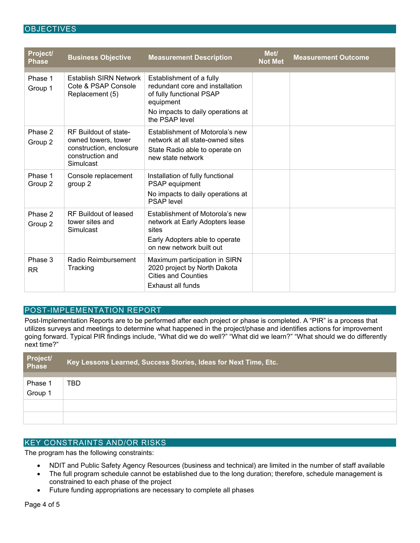## **OBJECTIVES**

| Project/<br><b>Phase</b> | <b>Business Objective</b>                                                                                | <b>Measurement Description</b>                                                                                                                              | Met/<br><b>Not Met</b> | <b>Measurement Outcome</b> |
|--------------------------|----------------------------------------------------------------------------------------------------------|-------------------------------------------------------------------------------------------------------------------------------------------------------------|------------------------|----------------------------|
| Phase 1<br>Group 1       | <b>Establish SIRN Network</b><br>Cote & PSAP Console<br>Replacement (5)                                  | Establishment of a fully<br>redundant core and installation<br>of fully functional PSAP<br>equipment<br>No impacts to daily operations at<br>the PSAP level |                        |                            |
| Phase 2<br>Group 2       | RF Buildout of state-<br>owned towers, tower<br>construction, enclosure<br>construction and<br>Simulcast | Establishment of Motorola's new<br>network at all state-owned sites<br>State Radio able to operate on<br>new state network                                  |                        |                            |
| Phase 1<br>Group 2       | Console replacement<br>group 2                                                                           | Installation of fully functional<br>PSAP equipment<br>No impacts to daily operations at<br><b>PSAP</b> level                                                |                        |                            |
| Phase 2<br>Group 2       | RF Buildout of leased<br>tower sites and<br>Simulcast                                                    | Establishment of Motorola's new<br>network at Early Adopters lease<br>sites<br>Early Adopters able to operate<br>on new network built out                   |                        |                            |
| Phase 3<br><b>RR</b>     | Radio Reimbursement<br>Tracking                                                                          | Maximum participation in SIRN<br>2020 project by North Dakota<br><b>Cities and Counties</b><br>Exhaust all funds                                            |                        |                            |

## POST-IMPLEMENTATION REPORT

Post-Implementation Reports are to be performed after each project or phase is completed. A "PIR" is a process that utilizes surveys and meetings to determine what happened in the project/phase and identifies actions for improvement going forward. Typical PIR findings include, "What did we do well?" "What did we learn?" "What should we do differently next time?"

| Project/<br>Phase  | Key Lessons Learned, Success Stories, Ideas for Next Time, Etc. |
|--------------------|-----------------------------------------------------------------|
| Phase 1<br>Group 1 | TBD                                                             |
|                    |                                                                 |

# KEY CONSTRAINTS AND/OR RISKS

The program has the following constraints:

- NDIT and Public Safety Agency Resources (business and technical) are limited in the number of staff available
- The full program schedule cannot be established due to the long duration; therefore, schedule management is constrained to each phase of the project
- Future funding appropriations are necessary to complete all phases